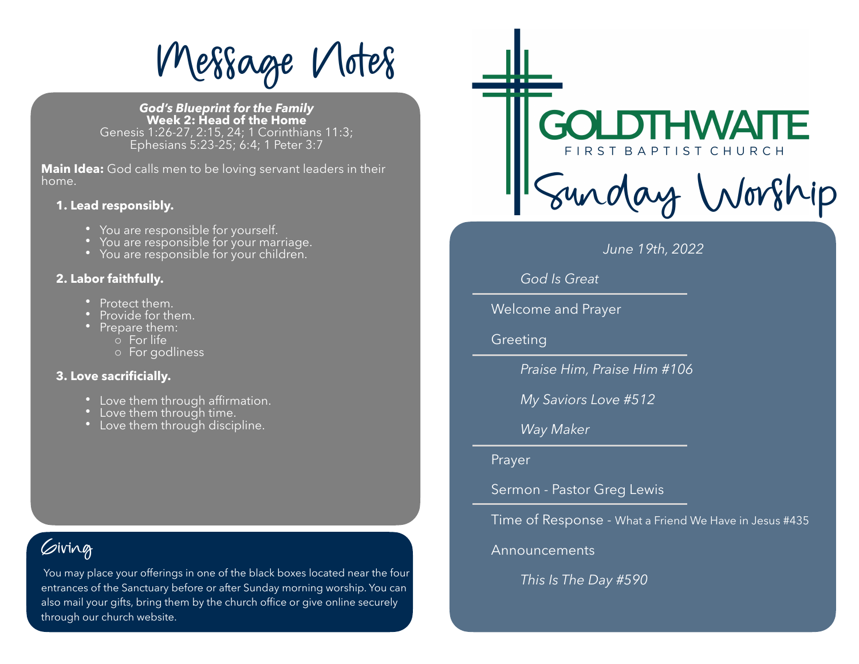**Wessage Vlotes** 

*God's Blueprint for the Family*  **Week 2: Head of the Home**  Genesis 1:26-27, 2:15, 24; 1 Corinthians 11:3; Ephesians 5:23-25; 6:4; 1 Peter 3:7

**Main Idea:** God calls men to be loving servant leaders in their home.

#### **1. Lead responsibly.**

- 
- You are responsible for yourself.<br>• You are responsible for your marriage.<br>• You are responsible for your children.
- 

### **2. Labor faithfully.**

- 
- Protect them.<br>• Provide for them.<br>• Prepare them:
	-
	- o For life
	- o For godliness

### **3. Love sacrificially.**

- Love them through affirmation.<br>• Love them through time.<br>• Love them through discipline.
- 
- 

## $\omega$ iving

 *This Is The Day #590* You may place your offerings in one of the black boxes located near the four entrances of the Sanctuary before or after Sunday morning worship. You can also mail your gifts, bring them by the church office or give online securely through our church website.



### *June 19th, 2022*

### *God Is Great*

Welcome and Prayer

**Greeting** 

 *Praise Him, Praise Him #106* 

 *My Saviors Love #512* 

### *Way Maker*

Prayer

Sermon - Pastor Greg Lewis

Time of Response - What a Friend We Have in Jesus #435

Announcements